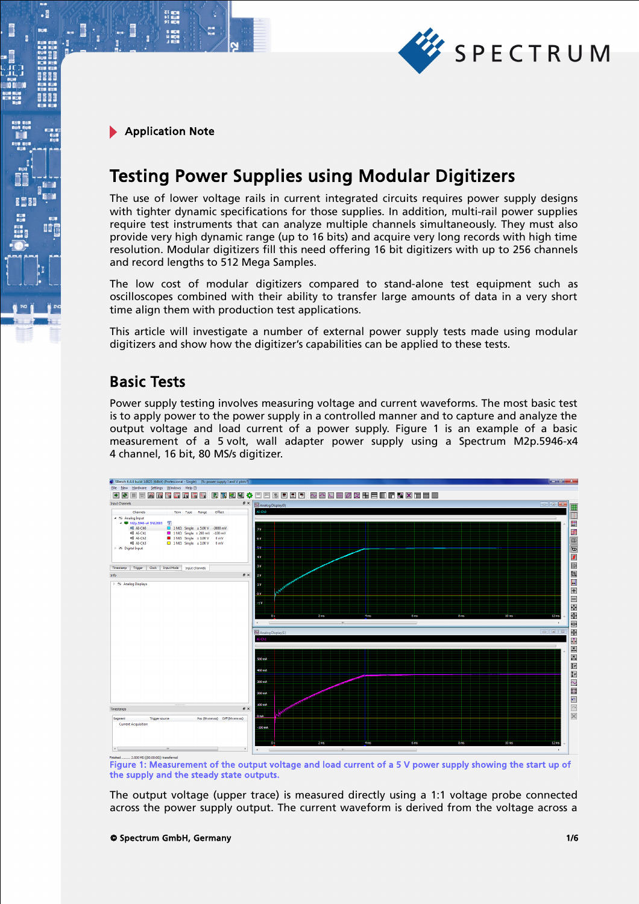

21 mg<br>サービス<br>91 mg

 $\cdot$ 

885

間

# Testing Power Supplies using Modular Digitizers

The use of lower voltage rails in current integrated circuits requires power supply designs with tighter dynamic specifications for those supplies. In addition, multi-rail power supplies require test instruments that can analyze multiple channels simultaneously. They must also provide very high dynamic range (up to 16 bits) and acquire very long records with high time resolution. Modular digitizers fill this need offering 16 bit digitizers with up to 256 channels and record lengths to 512 Mega Samples.

The low cost of modular digitizers compared to stand-alone test equipment such as oscilloscopes combined with their ability to transfer large amounts of data in a very short time align them with production test applications.

This article will investigate a number of external power supply tests made using modular digitizers and show how the digitizer's capabilities can be applied to these tests.

#### Basic Tests

Power supply testing involves measuring voltage and current waveforms. The most basic test is to apply power to the power supply in a controlled manner and to capture and analyze the output voltage and load current of a power supply. Figure 1 is an example of a basic measurement of a 5 volt, wall adapter power supply using a Spectrum M2p.5946-x4 4 channel, 16 bit, 80 MS/s digitizer.



Figure 1: Measurement of the output voltage and load current of a 5 V power supply showing the start up of the supply and the steady state outputs.

The output voltage (upper trace) is measured directly using a 1:1 voltage probe connected across the power supply output. The current waveform is derived from the voltage across a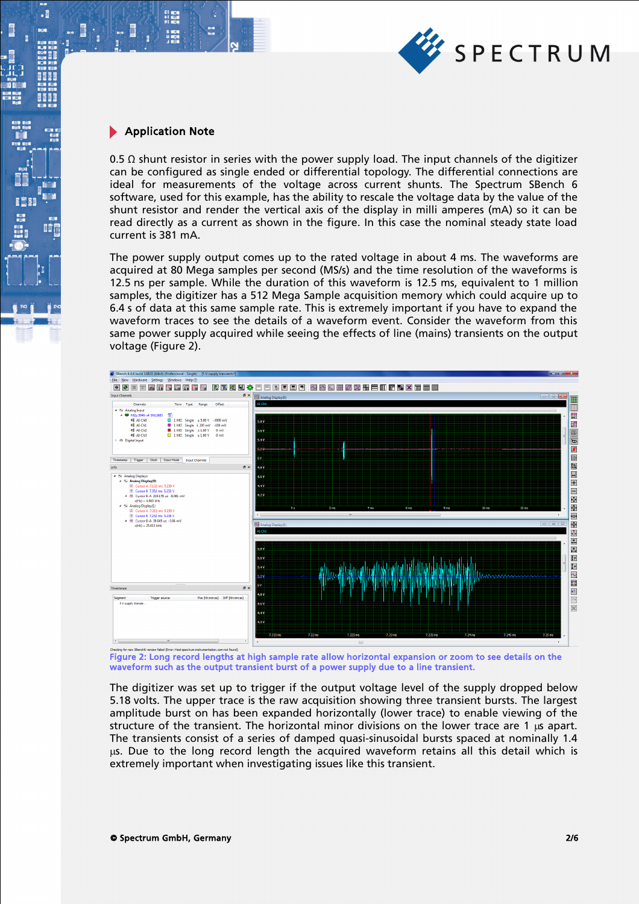

21 年11<br>11 年11<br>91 年11

 $\cdot$ 

m.

**BEEF** 

**II** 

0.5  $\Omega$  shunt resistor in series with the power supply load. The input channels of the digitizer can be configured as single ended or differential topology. The differential connections are ideal for measurements of the voltage across current shunts. The Spectrum SBench 6 software, used for this example, has the ability to rescale the voltage data by the value of the shunt resistor and render the vertical axis of the display in milli amperes (mA) so it can be read directly as a current as shown in the figure. In this case the nominal steady state load current is 381 mA.

The power supply output comes up to the rated voltage in about 4 ms. The waveforms are acquired at 80 Mega samples per second (MS/s) and the time resolution of the waveforms is 12.5 ns per sample. While the duration of this waveform is 12.5 ms, equivalent to 1 million samples, the digitizer has a 512 Mega Sample acquisition memory which could acquire up to 6.4 s of data at this same sample rate. This is extremely important if you have to expand the waveform traces to see the details of a waveform event. Consider the waveform from this same power supply acquired while seeing the effects of line (mains) transients on the output voltage (Figure 2).



Figure 2: Long record lengths at high sample rate allow horizontal expansion or zoom to see details on the waveform such as the output transient burst of a power supply due to a line transient.

The digitizer was set up to trigger if the output voltage level of the supply dropped below 5.18 volts. The upper trace is the raw acquisition showing three transient bursts. The largest amplitude burst on has been expanded horizontally (lower trace) to enable viewing of the structure of the transient. The horizontal minor divisions on the lower trace are 1 us apart. The transients consist of a series of damped quasi-sinusoidal bursts spaced at nominally 1.4 µs. Due to the long record length the acquired waveform retains all this detail which is extremely important when investigating issues like this transient.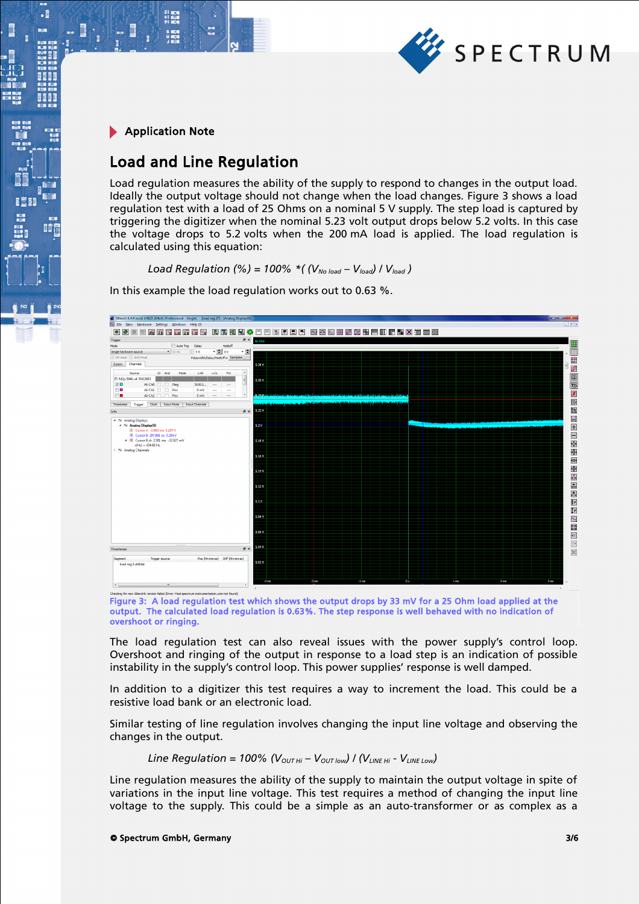

21 mgm<br>41 mgm<br>91 mgm

 $\cdot$ 

**BEEF** 

BÔ

#### Load and Line Regulation

Load regulation measures the ability of the supply to respond to changes in the output load. Ideally the output voltage should not change when the load changes. Figure 3 shows a load regulation test with a load of 25 Ohms on a nominal 5 V supply. The step load is captured by triggering the digitizer when the nominal 5.23 volt output drops below 5.2 volts. In this case the voltage drops to 5.2 volts when the 200 mA load is applied. The load regulation is calculated using this equation:

*Load Regulation (%) = 100% \*( (* $V_{No\ load} - V_{load}$ *) /*  $V_{load}$ *)* 

In this example the load regulation works out to 0.63 %.



Figure 3: A load regulation test which shows the output drops by 33 mV for a 25 Ohm load applied at the output. The calculated load regulation is 0.63%. The step response is well behaved with no indication of overshoot or ringing.

The load regulation test can also reveal issues with the power supply's control loop. Overshoot and ringing of the output in response to a load step is an indication of possible instability in the supply's control loop. This power supplies' response is well damped.

In addition to a digitizer this test requires a way to increment the load. This could be a resistive load bank or an electronic load.

Similar testing of line regulation involves changing the input line voltage and observing the changes in the output.

Line Regulation = 100% (
$$
V_{\text{OUT Hi}} - V_{\text{OUT low}}
$$
) / ( $V_{\text{LINE Hi}} - V_{\text{LINE Low}}$ )

Line regulation measures the ability of the supply to maintain the output voltage in spite of variations in the input line voltage. This test requires a method of changing the input line voltage to the supply. This could be a simple as an auto-transformer or as complex as a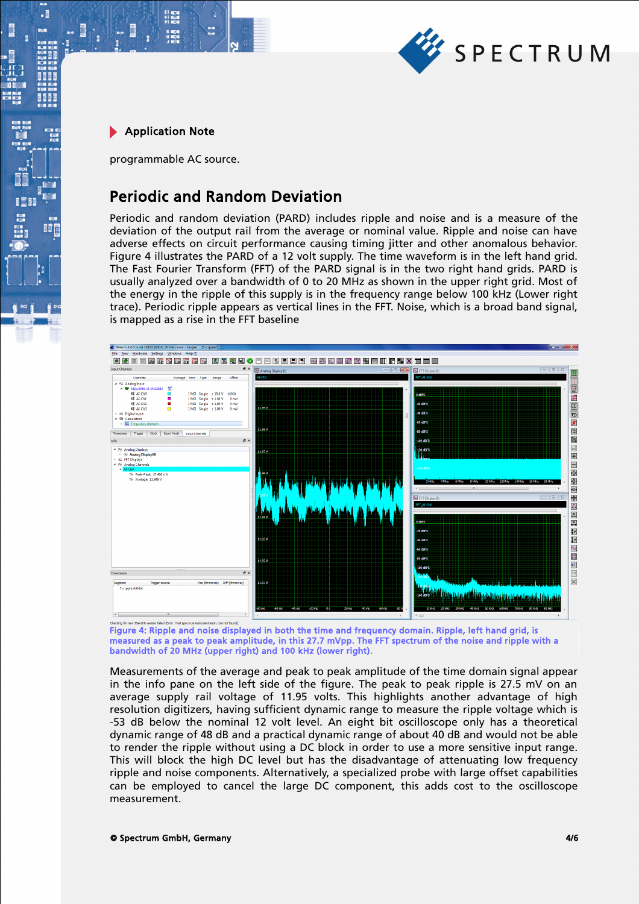

.

8881

間違

programmable AC source.

21 年1月<br>ドロコ<br>91 年1月

### Periodic and Random Deviation

Periodic and random deviation (PARD) includes ripple and noise and is a measure of the deviation of the output rail from the average or nominal value. Ripple and noise can have adverse effects on circuit performance causing timing jitter and other anomalous behavior. Figure 4 illustrates the PARD of a 12 volt supply. The time waveform is in the left hand grid. The Fast Fourier Transform (FFT) of the PARD signal is in the two right hand grids. PARD is usually analyzed over a bandwidth of 0 to 20 MHz as shown in the upper right grid. Most of the energy in the ripple of this supply is in the frequency range below 100 kHz (Lower right trace). Periodic ripple appears as vertical lines in the FFT. Noise, which is a broad band signal, is mapped as a rise in the FFT baseline



Figure 4: Ripple and noise displayed in both the time and frequency domain. Ripple, left hand grid, is measured as a peak to peak amplitude, in this 27.7 mVpp. The FFT spectrum of the noise and ripple with a bandwidth of 20 MHz (upper right) and 100 kHz (lower right).

Measurements of the average and peak to peak amplitude of the time domain signal appear in the info pane on the left side of the figure. The peak to peak ripple is 27.5 mV on an average supply rail voltage of 11.95 volts. This highlights another advantage of high resolution digitizers, having sufficient dynamic range to measure the ripple voltage which is -53 dB below the nominal 12 volt level. An eight bit oscilloscope only has a theoretical dynamic range of 48 dB and a practical dynamic range of about 40 dB and would not be able to render the ripple without using a DC block in order to use a more sensitive input range. This will block the high DC level but has the disadvantage of attenuating low frequency ripple and noise components. Alternatively, a specialized probe with large offset capabilities can be employed to cancel the large DC component, this adds cost to the oscilloscope measurement.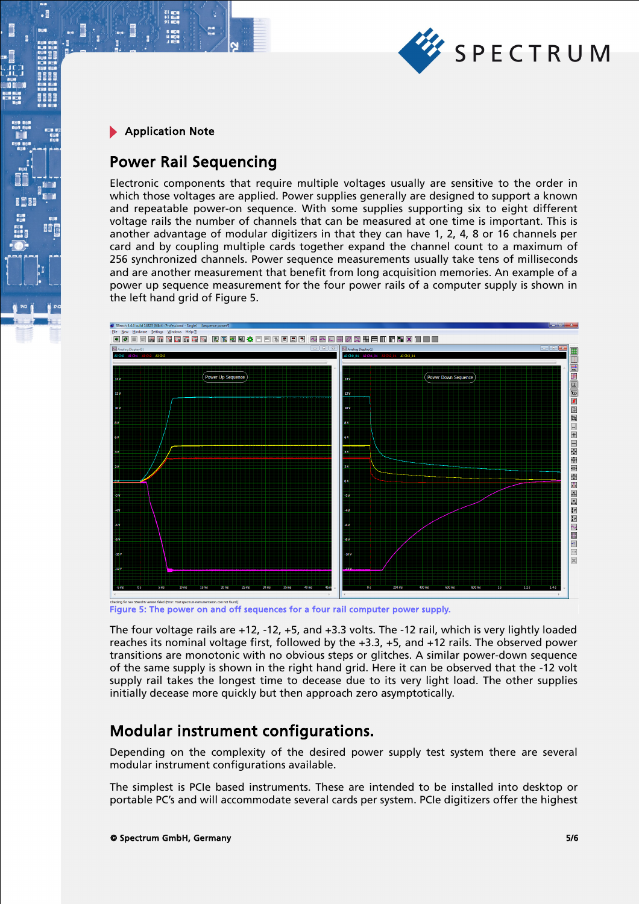

.

#### Power Rail Sequencing

Electronic components that require multiple voltages usually are sensitive to the order in which those voltages are applied. Power supplies generally are designed to support a known and repeatable power-on sequence. With some supplies supporting six to eight different voltage rails the number of channels that can be measured at one time is important. This is another advantage of modular digitizers in that they can have 1, 2, 4, 8 or 16 channels per card and by coupling multiple cards together expand the channel count to a maximum of 256 synchronized channels. Power sequence measurements usually take tens of milliseconds and are another measurement that benefit from long acquisition memories. An example of a power up sequence measurement for the four power rails of a computer supply is shown in the left hand grid of Figure 5.



Figure 5: The power on and off sequences for a four rail computer power supply.

The four voltage rails are +12, -12, +5, and +3.3 volts. The -12 rail, which is very lightly loaded reaches its nominal voltage first, followed by the +3.3, +5, and +12 rails. The observed power transitions are monotonic with no obvious steps or glitches. A similar power-down sequence of the same supply is shown in the right hand grid. Here it can be observed that the -12 volt supply rail takes the longest time to decease due to its very light load. The other supplies initially decease more quickly but then approach zero asymptotically.

## Modular instrument configurations.

Depending on the complexity of the desired power supply test system there are several modular instrument configurations available.

The simplest is PCIe based instruments. These are intended to be installed into desktop or portable PC's and will accommodate several cards per system. PCIe digitizers offer the highest